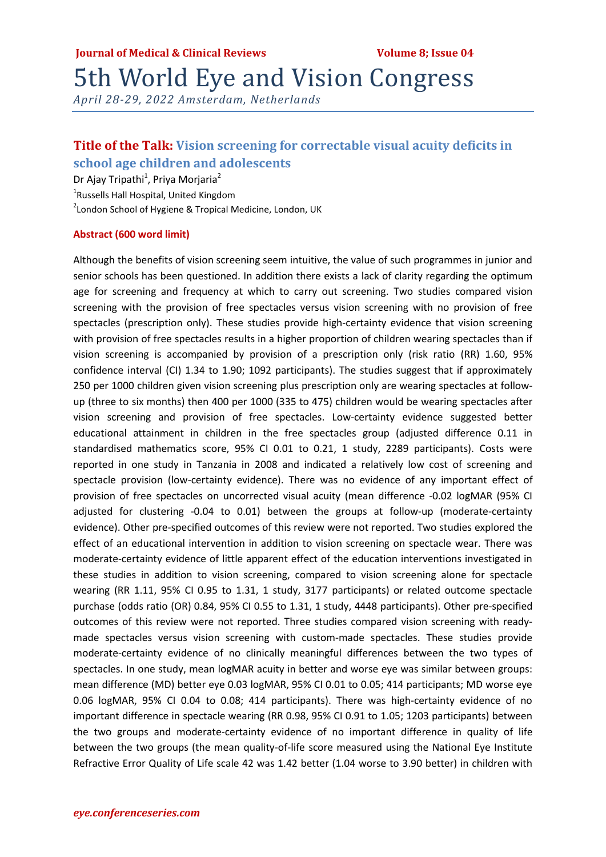## 5th World Eye and Vision Congress

*April 28-29, 2022 Amsterdam, Netherlands*

### **Title of the Talk: Vision screening for correctable visual acuity deficits in school age children and adolescents**

Dr Ajay Tripathi<sup>1</sup>, Priya Morjaria<sup>2</sup>

<sup>1</sup>Russells Hall Hospital, United Kingdom

<sup>2</sup> London School of Hygiene & Tropical Medicine, London, UK

### **Abstract (600 word limit)**

Although the benefits of vision screening seem intuitive, the value of such programmes in junior and senior schools has been questioned. In addition there exists a lack of clarity regarding the optimum age for screening and frequency at which to carry out screening. Two studies compared vision screening with the provision of free spectacles versus vision screening with no provision of free spectacles (prescription only). These studies provide high-certainty evidence that vision screening with provision of free spectacles results in a higher proportion of children wearing spectacles than if vision screening is accompanied by provision of a prescription only (risk ratio (RR) 1.60, 95% confidence interval (CI) 1.34 to 1.90; 1092 participants). The studies suggest that if approximately 250 per 1000 children given vision screening plus prescription only are wearing spectacles at follow‐ up (three to six months) then 400 per 1000 (335 to 475) children would be wearing spectacles after vision screening and provision of free spectacles. Low‐certainty evidence suggested better educational attainment in children in the free spectacles group (adjusted difference 0.11 in standardised mathematics score, 95% CI 0.01 to 0.21, 1 study, 2289 participants). Costs were reported in one study in Tanzania in 2008 and indicated a relatively low cost of screening and spectacle provision (low-certainty evidence). There was no evidence of any important effect of provision of free spectacles on uncorrected visual acuity (mean difference ‐0.02 logMAR (95% CI adjusted for clustering -0.04 to 0.01) between the groups at follow-up (moderate-certainty evidence). Other pre‐specified outcomes of this review were not reported. Two studies explored the effect of an educational intervention in addition to vision screening on spectacle wear. There was moderate‐certainty evidence of little apparent effect of the education interventions investigated in these studies in addition to vision screening, compared to vision screening alone for spectacle wearing (RR 1.11, 95% CI 0.95 to 1.31, 1 study, 3177 participants) or related outcome spectacle purchase (odds ratio (OR) 0.84, 95% CI 0.55 to 1.31, 1 study, 4448 participants). Other pre‐specified outcomes of this review were not reported. Three studies compared vision screening with ready‐ made spectacles versus vision screening with custom-made spectacles. These studies provide moderate‐certainty evidence of no clinically meaningful differences between the two types of spectacles. In one study, mean logMAR acuity in better and worse eye was similar between groups: mean difference (MD) better eye 0.03 logMAR, 95% CI 0.01 to 0.05; 414 participants; MD worse eye 0.06 logMAR, 95% CI 0.04 to 0.08; 414 participants). There was high‐certainty evidence of no important difference in spectacle wearing (RR 0.98, 95% CI 0.91 to 1.05; 1203 participants) between the two groups and moderate‐certainty evidence of no important difference in quality of life between the two groups (the mean quality-of-life score measured using the National Eye Institute Refractive Error Quality of Life scale 42 was 1.42 better (1.04 worse to 3.90 better) in children with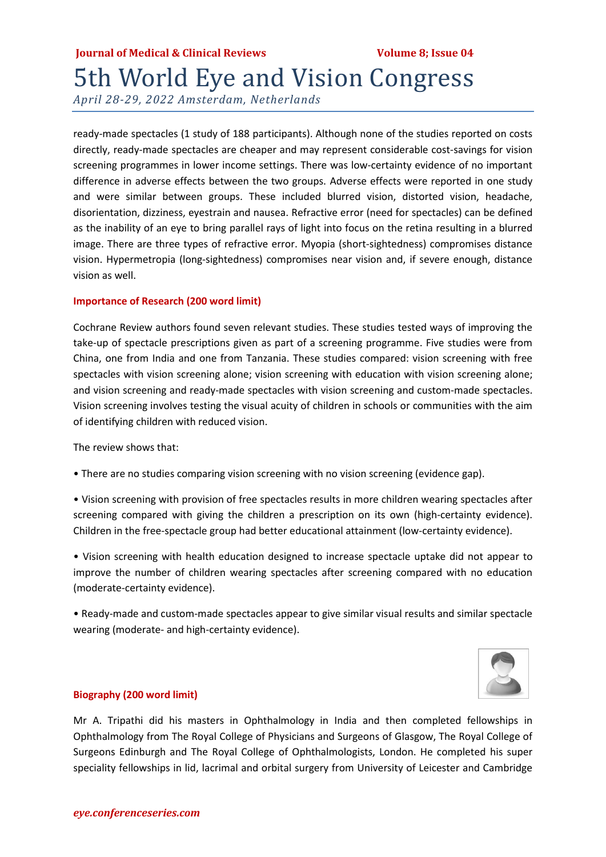### **Iournal of Medical & Clinical Reviews The Clinical Contract Property Volume 8: Issue 04** 5th World Eye and Vision Congress

*April 28-29, 2022 Amsterdam, Netherlands*

ready‐made spectacles (1 study of 188 participants). Although none of the studies reported on costs directly, ready‐made spectacles are cheaper and may represent considerable cost‐savings for vision screening programmes in lower income settings. There was low-certainty evidence of no important difference in adverse effects between the two groups. Adverse effects were reported in one study and were similar between groups. These included blurred vision, distorted vision, headache, disorientation, dizziness, eyestrain and nausea. Refractive error (need for spectacles) can be defined as the inability of an eye to bring parallel rays of light into focus on the retina resulting in a blurred image. There are three types of refractive error. Myopia (short‐sightedness) compromises distance vision. Hypermetropia (long‐sightedness) compromises near vision and, if severe enough, distance vision as well.

### **Importance of Research (200 word limit)**

Cochrane Review authors found seven relevant studies. These studies tested ways of improving the take-up of spectacle prescriptions given as part of a screening programme. Five studies were from China, one from India and one from Tanzania. These studies compared: vision screening with free spectacles with vision screening alone; vision screening with education with vision screening alone; and vision screening and ready-made spectacles with vision screening and custom-made spectacles. Vision screening involves testing the visual acuity of children in schools or communities with the aim of identifying children with reduced vision.

The review shows that:

• There are no studies comparing vision screening with no vision screening (evidence gap).

• Vision screening with provision of free spectacles results in more children wearing spectacles after screening compared with giving the children a prescription on its own (high-certainty evidence). Children in the free‐spectacle group had better educational attainment (low‐certainty evidence).

• Vision screening with health education designed to increase spectacle uptake did not appear to improve the number of children wearing spectacles after screening compared with no education (moderate‐certainty evidence).

• Ready‐made and custom‐made spectacles appear to give similar visual results and similar spectacle wearing (moderate- and high-certainty evidence).



### **Biography (200 word limit)**

Mr A. Tripathi did his masters in Ophthalmology in India and then completed fellowships in Ophthalmology from The Royal College of Physicians and Surgeons of Glasgow, The Royal College of Surgeons Edinburgh and The Royal College of Ophthalmologists, London. He completed his super speciality fellowships in lid, lacrimal and orbital surgery from University of Leicester and Cambridge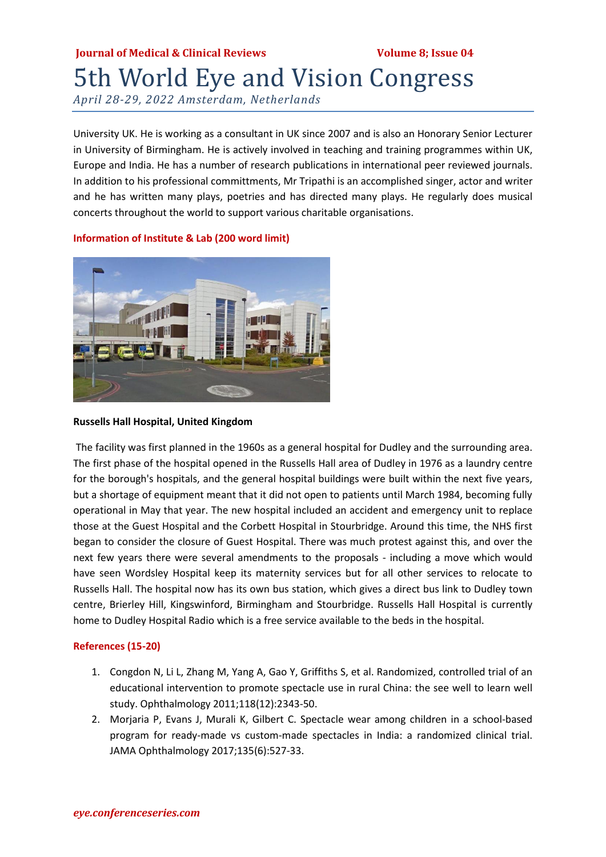# **Journal of Medical & Clinical Reviews Volume 8; Issue 04** 5th World Eye and Vision Congress

*April 28-29, 2022 Amsterdam, Netherlands*

University UK. He is working as a consultant in UK since 2007 and is also an Honorary Senior Lecturer in University of Birmingham. He is actively involved in teaching and training programmes within UK, Europe and India. He has a number of research publications in international peer reviewed journals. In addition to his professional committments, Mr Tripathi is an accomplished singer, actor and writer and he has written many plays, poetries and has directed many plays. He regularly does musical concerts throughout the world to support various charitable organisations.



### **Information of Institute & Lab (200 word limit)**

#### **Russells Hall Hospital, United Kingdom**

The facility was first planned in the 1960s as a general hospital for Dudley and the surrounding area. The first phase of the hospital opened in the Russells Hall area of Dudley in 1976 as a laundry centre for the borough's hospitals, and the general hospital buildings were built within the next five years, but a shortage of equipment meant that it did not open to patients until March 1984, becoming fully operational in May that year. The new hospital included an accident and emergency unit to replace those at the Guest Hospital and the Corbett Hospital in Stourbridge. Around this time, the NHS first began to consider the closure of Guest Hospital. There was much protest against this, and over the next few years there were several amendments to the proposals - including a move which would have seen Wordsley Hospital keep its maternity services but for all other services to relocate to Russells Hall. The hospital now has its own bus station, which gives a direct bus link to Dudley town centre, Brierley Hill, Kingswinford, Birmingham and Stourbridge. Russells Hall Hospital is currently home to Dudley Hospital Radio which is a free service available to the beds in the hospital.

#### **References (15-20)**

- 1. Congdon N, Li L, Zhang M, Yang A, Gao Y, Griffiths S, et al. Randomized, controlled trial of an educational intervention to promote spectacle use in rural China: the see well to learn well study. Ophthalmology 2011;118(12):2343‐50.
- 2. Morjaria P, Evans J, Murali K, Gilbert C. Spectacle wear among children in a school-based program for ready‐made vs custom‐made spectacles in India: a randomized clinical trial. JAMA Ophthalmology 2017;135(6):527‐33.